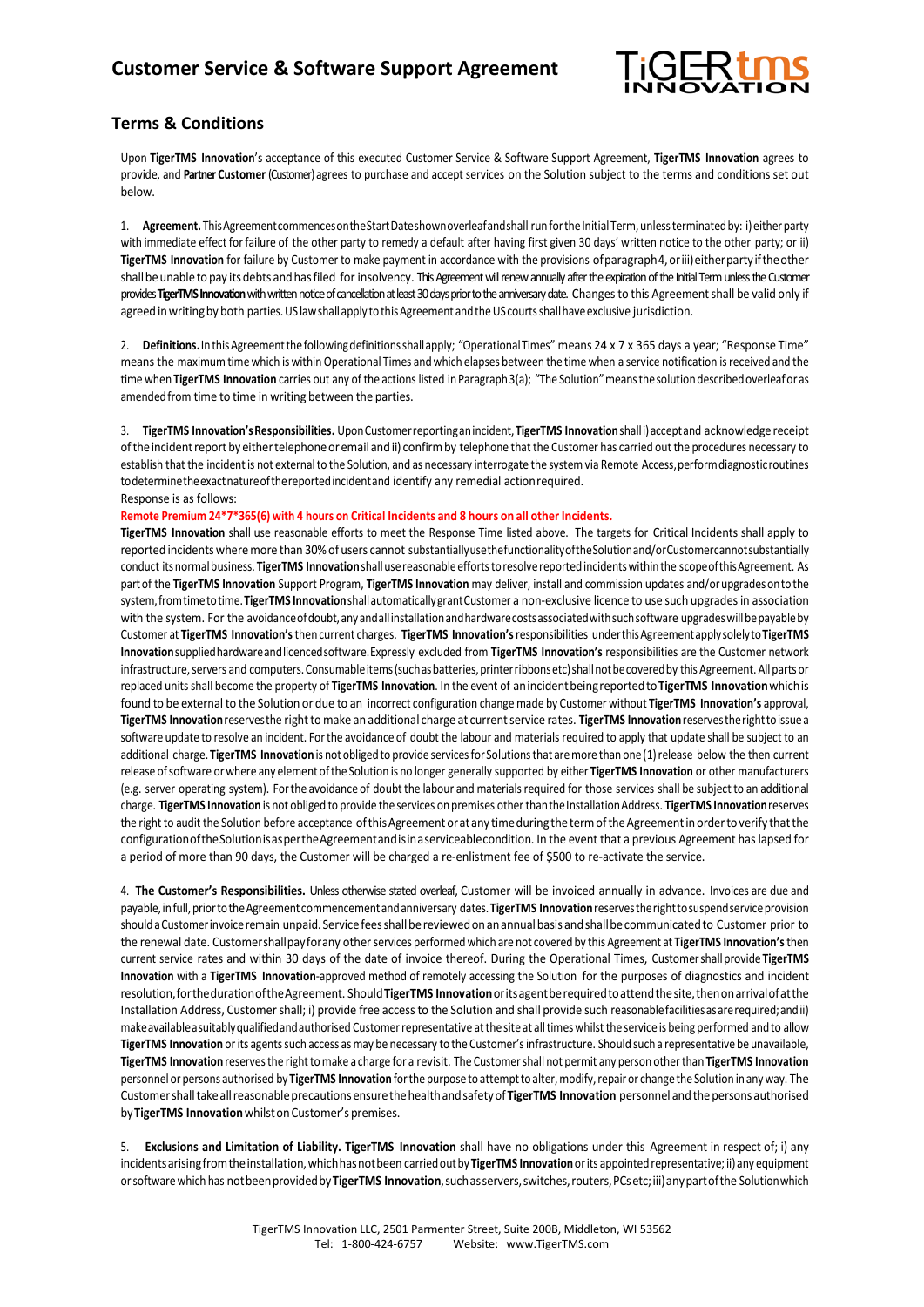

## **Terms & Conditions**

Upon **TigerTMS Innovation**'s acceptance of this executed Customer Service & Software Support Agreement, **TigerTMS Innovation** agrees to provide, and **Partner Customer** (Customer) agrees to purchase and accept services on the Solution subject to the terms and conditions set out below.

1. Agreement. This Agreement commences on the Start Dateshown overleaf and shall run for the Initial Term, unless terminated by: i) either party with immediate effect forfailure of the other party to remedy a default after having first given 30 days' written notice to the other party; or ii) **TigerTMS Innovation** for failure by Customer to make payment in accordance with the provisions ofparagraph4,oriii)eitherpartyiftheother shall be unable to pay its debts and has filed for insolvency. This Agreement will renew annually after the expiration of the Initial Term unless the Customer provides TigerTMS Innovation with written notice of cancellation at least 30 days prior to the anniversary date. Changes to this Agreement shall be valid only if agreed in writing by both parties. US law shall apply to this Agreement and the US courts shall have exclusive jurisdiction.

2. **Definitions.**InthisAgreementthefollowingdefinitionsshallapply; "OperationalTimes" means 24 x 7 x 365 days a year; "Response Time" means the maximum timewhich is withinOperational Times andwhich elapses between the time when a service notification isreceived and the time when TigerTMS Innovation carries out any of the actions listed in Paragraph3(a); "The Solution" means the solution described overleaf or as amended from time to time in writing between the parties.

3. **TigerTMS Innovation'sResponsibilities.** UponCustomerreportinganincident,**TigerTMS Innovation**shalli)acceptand acknowledge receipt oftheincidentreport by eithertelephoneoremail andii) confirmby telephone that the Customer has carried outthe procedures necessary to establish that the incident is not external to the Solution, and as necessary interrogate the system via Remote Access, perform diagnostic routines todeterminetheexactnatureofthereportedincidentand identify any remedial actionrequired. Response is as follows:

## **Remote Premium 24\*7\*365(6) with 4 hours on Critical Incidents and 8 hours on all other Incidents.**

**TigerTMS Innovation** shall use reasonable efforts to meet the Response Time listed above. The targets for Critical Incidents shall apply to reported incidentswheremore than 30%of users cannot substantiallyusethefunctionalityoftheSolutionand/orCustomercannotsubstantially conduct itsnormalbusiness. **TigerTMS Innovation**shallusereasonableeffortstoresolvereportedincidentswithinthe scopeofthisAgreement. As partof the **TigerTMS Innovation** Support Program, **TigerTMS Innovation** may deliver, install and commission updates and/orupgradesontothe system,fromtimetotime.**TigerTMS Innovation**shallautomaticallygrantCustomer a non-exclusive licence to use such upgrades in association with the system. For the avoidance of doubt, any and all installation and hardware costs associated with such software upgrades will be payable by Customer at **TigerTMS Innovation's**then current charges. **TigerTMS Innovation's**responsibilities underthisAgreementapplysolelyto**TigerTMS Innovation**suppliedhardwareandlicencedsoftware.Expressly excluded from **TigerTMS Innovation's** responsibilities are the Customer network infrastructure, servers and computers. Consumableitems (such as batteries, printerribbons etc) shall not be covered by this Agreement. All parts or replaced unitsshall become the property of **TigerTMS Innovation**. In the event of anincidentbeingreportedto**TigerTMS Innovation**whichis found to be external to the Solution or due to an incorrect configuration change made by Customer without **TigerTMS Innovation's** approval, **TigerTMS Innovation**reservesthe rightto make an additional charge at currentservice rates. **TigerTMS Innovation**reservestherighttoissuea software update to resolve an incident. Forthe avoidance of doubt the labour and materials required to apply that update shall be subject to an additional charge. TigerTMS Innovation is not obliged to provide services for Solutions that are more than one (1) release below the then current release ofsoftware orwhere any elementofthe Solution is no longer generally supported by either **TigerTMS Innovation** or other manufacturers (e.g. server operating system). Forthe avoidance of doubt the labour and materialsrequired for those services shall be subject to an additional charge. **TigerTMS Innovation** is not obliged to provide the services on premises other thantheInstallationAddress. **TigerTMS Innovation**reserves the right to audit the Solution before acceptance of this Agreement or at any time during the term of the Agreement in order to verify that the configurationoftheSolutionisaspertheAgreementandisinaserviceablecondition. In the event that a previous Agreement has lapsed for a period of more than 90 days, the Customer will be charged a re-enlistment fee of \$500 to re-activate the service.

4. **The Customer's Responsibilities.** Unless otherwise stated overleaf, Customer will be invoiced annually in advance. Invoices are due and payable,infull,priortotheAgreementcommencementandanniversary dates.**TigerTMS Innovation**reservestherighttosuspendserviceprovision should a Customer invoice remain unpaid. Service fees shall be reviewed on an annual basis and shall be communicated to Customer prior to the renewal date. Customershallpayforany other services performedwhich are not covered by this Agreement at **TigerTMS Innovation's**then current service rates and within 30 days of the date of invoice thereof. During the Operational Times, Customershallprovide **TigerTMS Innovation** with a **TigerTMS Innovation**-approved method of remotely accessing the Solution for the purposes of diagnostics and incident resolution,forthedurationoftheAgreement. Should**TigerTMS Innovation**oritsagentberequiredtoattendthesite,thenonarrivalofatthe Installation Address, Customer shall; i) provide free access to the Solution and shall provide such reasonable facilities as are required; and ii) make available a suitably qualified and authorised Customer representative at the site at all times whilst the service is being performed and to allow TigerTMS Innovation or its agents such access as may be necessary to the Customer's infrastructure. Should such a representative be unavailable, **TigerTMS Innovation** reservesthe righttomake a charge for a revisit. The Customershall not permit any person otherthan **TigerTMS Innovation** personnel or persons authorised by TigerTMS Innovation for the purpose to attempt to alter, modify, repair or change the Solution in any way. The Customershalltakeallreasonableprecautionsensurethehealthandsafetyof**TigerTMS Innovation** personnel andthepersons authorised by TigerTMS Innovation whilst on Customer's premises.

5. **Exclusions and Limitation of Liability. TigerTMS Innovation** shall have no obligations under this Agreement in respect of; i) any incidentsarisingfromtheinstallation,whichhasnotbeen carriedoutby **TigerTMS Innovation** orits appointedrepresentative; ii)any equipment orsoftwarewhich has notbeenprovidedby**TigerTMS Innovation**,suchasservers,switches,routers,PCsetc;iii)anypartofthe Solutionwhich